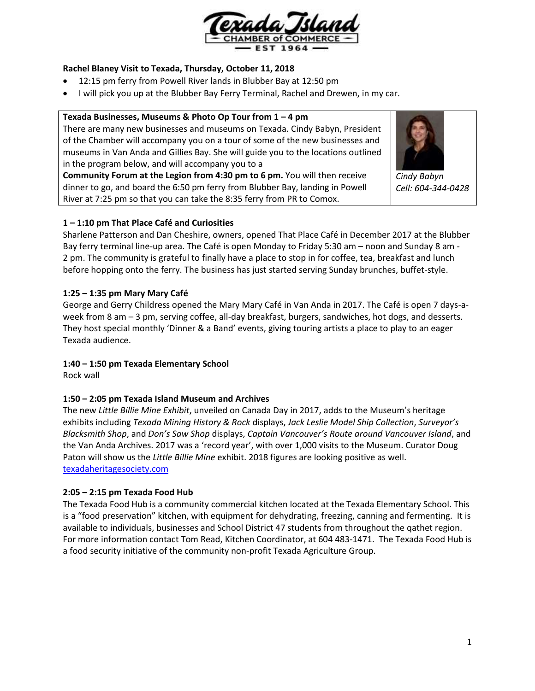

# **Rachel Blaney Visit to Texada, Thursday, October 11, 2018**

- 12:15 pm ferry from Powell River lands in Blubber Bay at 12:50 pm
- I will pick you up at the Blubber Bay Ferry Terminal, Rachel and Drewen, in my car.

# **Texada Businesses, Museums & Photo Op Tour from 1 – 4 pm**

There are many new businesses and museums on Texada. Cindy Babyn, President of the Chamber will accompany you on a tour of some of the new businesses and museums in Van Anda and Gillies Bay. She will guide you to the locations outlined in the program below, and will accompany you to a

**Community Forum at the Legion from 4:30 pm to 6 pm.** You will then receive dinner to go, and board the 6:50 pm ferry from Blubber Bay, landing in Powell River at 7:25 pm so that you can take the 8:35 ferry from PR to Comox.



*Cindy Babyn Cell: 604-344-0428*

# **1 – 1:10 pm That Place Café and Curiosities**

Sharlene Patterson and Dan Cheshire, owners, opened That Place Café in December 2017 at the Blubber Bay ferry terminal line-up area. The Café is open Monday to Friday 5:30 am – noon and Sunday 8 am - 2 pm. The community is grateful to finally have a place to stop in for coffee, tea, breakfast and lunch before hopping onto the ferry. The business has just started serving Sunday brunches, buffet-style.

# **1:25 – 1:35 pm Mary Mary Café**

George and Gerry Childress opened the Mary Mary Café in Van Anda in 2017. The Café is open 7 days-aweek from 8 am – 3 pm, serving coffee, all-day breakfast, burgers, sandwiches, hot dogs, and desserts. They host special monthly 'Dinner & a Band' events, giving touring artists a place to play to an eager Texada audience.

### **1:40 – 1:50 pm Texada Elementary School**

Rock wall

### **1:50 – 2:05 pm Texada Island Museum and Archives**

The new *Little Billie Mine Exhibit*, unveiled on Canada Day in 2017, adds to the Museum's heritage exhibits including *Texada Mining History & Rock* displays, *Jack Leslie Model Ship Collection*, *Surveyor's Blacksmith Shop*, and *Don's Saw Shop* displays, *Captain Vancouver's Route around Vancouver Island*, and the Van Anda Archives. 2017 was a 'record year', with over 1,000 visits to the Museum. Curator Doug Paton will show us the *Little Billie Mine* exhibit. 2018 figures are looking positive as well. [texadaheritagesociety.com](http://www.texadaheritagesociety.com/)

### **2:05 – 2:15 pm Texada Food Hub**

The Texada Food Hub is a community commercial kitchen located at the Texada Elementary School. This is a "food preservation" kitchen, with equipment for dehydrating, freezing, canning and fermenting. It is available to individuals, businesses and School District 47 students from throughout the qathet region. For more information contact Tom Read, Kitchen Coordinator, at 604 483-1471. The Texada Food Hub is a food security initiative of the community non-profit Texada Agriculture Group.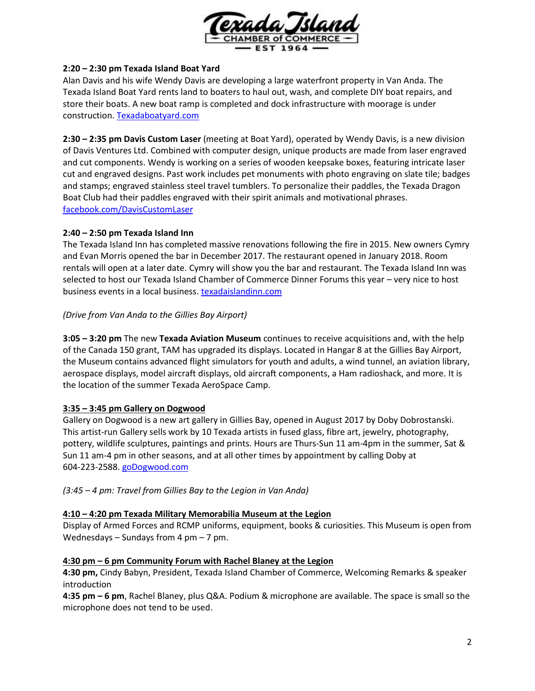

### **2:20 – 2:30 pm Texada Island Boat Yard**

Alan Davis and his wife Wendy Davis are developing a large waterfront property in Van Anda. The Texada Island Boat Yard rents land to boaters to haul out, wash, and complete DIY boat repairs, and store their boats. A new boat ramp is completed and dock infrastructure with moorage is under construction[. Texadaboatyard.com](https://texadaboatyard.com/)

**2:30 – 2:35 pm Davis Custom Laser** (meeting at Boat Yard), operated by Wendy Davis, is a new division of Davis Ventures Ltd. Combined with computer design, unique products are made from laser engraved and cut components. Wendy is working on a series of wooden keepsake boxes, featuring intricate laser cut and engraved designs. Past work includes pet monuments with photo engraving on slate tile; badges and stamps; engraved stainless steel travel tumblers. To personalize their paddles, the Texada Dragon Boat Club had their paddles engraved with their spirit animals and motivational phrases. [facebook.com/DavisCustomLaser](https://www.facebook.com/DavisCustomLaser)

# **2:40 – 2:50 pm Texada Island Inn**

The Texada Island Inn has completed massive renovations following the fire in 2015. New owners Cymry and Evan Morris opened the bar in December 2017. The restaurant opened in January 2018. Room rentals will open at a later date. Cymry will show you the bar and restaurant. The Texada Island Inn was selected to host our Texada Island Chamber of Commerce Dinner Forums this year – very nice to host business events in a local business. [texadaislandinn.com](http://www.texadaislandinn.com/)

# *(Drive from Van Anda to the Gillies Bay Airport)*

**3:05 – 3:20 pm** The new **Texada Aviation Museum** continues to receive acquisitions and, with the help of the Canada 150 grant, TAM has upgraded its displays. Located in Hangar 8 at the Gillies Bay Airport, the Museum contains advanced flight simulators for youth and adults, a wind tunnel, an aviation library, aerospace displays, model aircraft displays, old aircraft components, a Ham radioshack, and more. It is the location of the summer Texada AeroSpace Camp.

# **3:35 – 3:45 pm Gallery on Dogwood**

Gallery on Dogwood is a new art gallery in Gillies Bay, opened in August 2017 by Doby Dobrostanski. This artist-run Gallery sells work by 10 Texada artists in fused glass, fibre art, jewelry, photography, pottery, wildlife sculptures, paintings and prints. Hours are Thurs-Sun 11 am-4pm in the summer, Sat & Sun 11 am-4 pm in other seasons, and at all other times by appointment by calling Doby at 604-223-2588. [goDogwood.com](http://www.godogwood.com/)

*(3:45 – 4 pm: Travel from Gillies Bay to the Legion in Van Anda)*

### **4:10 – 4:20 pm Texada Military Memorabilia Museum at the Legion**

Display of Armed Forces and RCMP uniforms, equipment, books & curiosities. This Museum is open from Wednesdays – Sundays from 4 pm – 7 pm.

### **4:30 pm – 6 pm Community Forum with Rachel Blaney at the Legion**

**4:30 pm,** Cindy Babyn, President, Texada Island Chamber of Commerce, Welcoming Remarks & speaker introduction

**4:35 pm – 6 pm**, Rachel Blaney, plus Q&A. Podium & microphone are available. The space is small so the microphone does not tend to be used.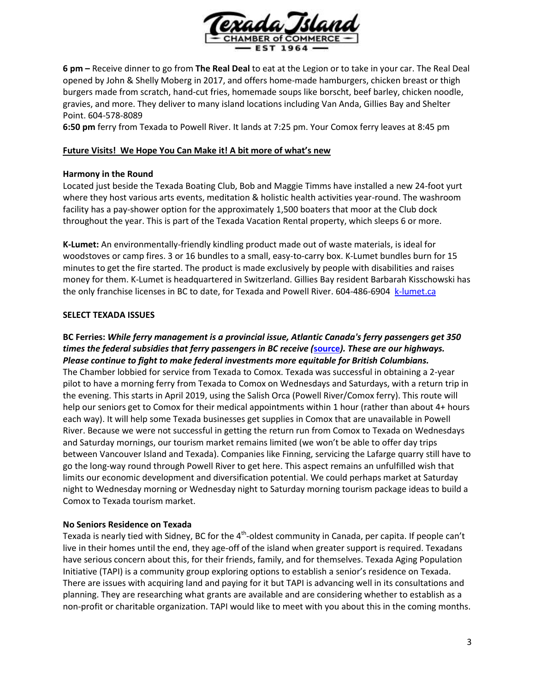

**6 pm –** Receive dinner to go from **The Real Deal** to eat at the Legion or to take in your car. The Real Deal opened by John & Shelly Moberg in 2017, and offers home-made hamburgers, chicken breast or thigh burgers made from scratch, hand-cut fries, homemade soups like borscht, beef barley, chicken noodle, gravies, and more. They deliver to many island locations including Van Anda, Gillies Bay and Shelter Point. 604-578-8089

**6:50 pm** ferry from Texada to Powell River. It lands at 7:25 pm. Your Comox ferry leaves at 8:45 pm

### **Future Visits! We Hope You Can Make it! A bit more of what's new**

## **Harmony in the Round**

Located just beside the Texada Boating Club, Bob and Maggie Timms have installed a new 24-foot yurt where they host various arts events, meditation & holistic health activities year-round. The washroom facility has a pay-shower option for the approximately 1,500 boaters that moor at the Club dock throughout the year. This is part of the Texada Vacation Rental property, which sleeps 6 or more.

**K-Lumet:** An environmentally-friendly kindling product made out of waste materials, is ideal for woodstoves or camp fires. 3 or 16 bundles to a small, easy-to-carry box. K-Lumet bundles burn for 15 minutes to get the fire started. The product is made exclusively by people with disabilities and raises money for them. K-Lumet is headquartered in Switzerland. Gillies Bay resident Barbarah Kisschowski has the only franchise licenses in BC to date, for Texada and Powell River. 604-486-6904 [k-lumet.ca](http://k-lumet.ca/product/)

# **SELECT TEXADA ISSUES**

# **BC Ferries:** *While ferry management is a provincial issue, Atlantic Canada's ferry passengers get 350 times the federal subsidies that ferry passengers in BC receive (***[source](http://www.vancouversun.com/Stephen+Hume+tale+coasts/10849242/story.html)***). These are our highways. Please continue to fight to make federal investments more equitable for British Columbians.*

The Chamber lobbied for service from Texada to Comox. Texada was successful in obtaining a 2-year pilot to have a morning ferry from Texada to Comox on Wednesdays and Saturdays, with a return trip in the evening. This starts in April 2019, using the Salish Orca (Powell River/Comox ferry). This route will help our seniors get to Comox for their medical appointments within 1 hour (rather than about 4+ hours each way). It will help some Texada businesses get supplies in Comox that are unavailable in Powell River. Because we were not successful in getting the return run from Comox to Texada on Wednesdays and Saturday mornings, our tourism market remains limited (we won't be able to offer day trips between Vancouver Island and Texada). Companies like Finning, servicing the Lafarge quarry still have to go the long-way round through Powell River to get here. This aspect remains an unfulfilled wish that limits our economic development and diversification potential. We could perhaps market at Saturday night to Wednesday morning or Wednesday night to Saturday morning tourism package ideas to build a Comox to Texada tourism market.

### **No Seniors Residence on Texada**

Texada is nearly tied with Sidney, BC for the 4<sup>th</sup>-oldest community in Canada, per capita. If people can't live in their homes until the end, they age-off of the island when greater support is required. Texadans have serious concern about this, for their friends, family, and for themselves. Texada Aging Population Initiative (TAPI) is a community group exploring options to establish a senior's residence on Texada. There are issues with acquiring land and paying for it but TAPI is advancing well in its consultations and planning. They are researching what grants are available and are considering whether to establish as a non-profit or charitable organization. TAPI would like to meet with you about this in the coming months.